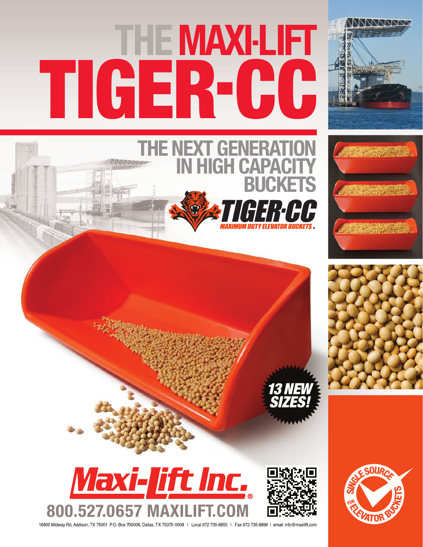# TIGER-CC

**THE NEXT GENERATION** 

**GH CAPACIT** 

**BUCKETS**

ERIHH





13 NEW SIZES!



16400 Midway Rd, Addison, TX 75001 P.O. Box 700008, Dallas, TX 75370-0008 | Local 972-735-8855 | Fax 972-735-8896 | email: info@maxilift.com